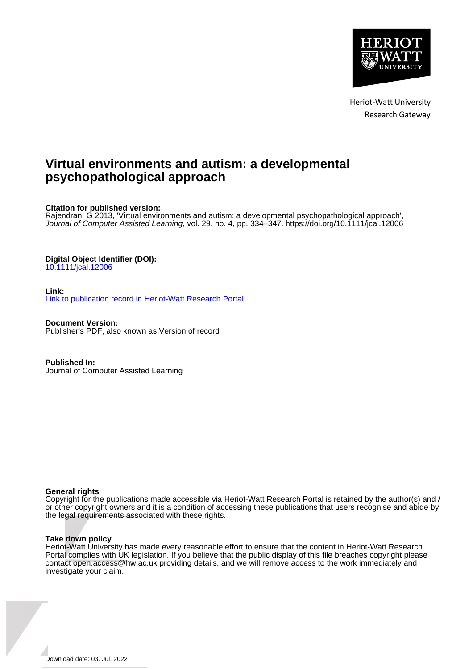

Heriot-Watt University Research Gateway

### **Virtual environments and autism: a developmental psychopathological approach**

**Citation for published version:**

Rajendran, G 2013, 'Virtual environments and autism: a developmental psychopathological approach', Journal of Computer Assisted Learning, vol. 29, no. 4, pp. 334–347.<https://doi.org/10.1111/jcal.12006>

### **Digital Object Identifier (DOI):**

[10.1111/jcal.12006](https://doi.org/10.1111/jcal.12006)

**Link:**

[Link to publication record in Heriot-Watt Research Portal](https://researchportal.hw.ac.uk/en/publications/43b6c7c6-5e6b-4a53-99bd-25c16bd4467c)

**Document Version:** Publisher's PDF, also known as Version of record

**Published In:** Journal of Computer Assisted Learning

#### **General rights**

Copyright for the publications made accessible via Heriot-Watt Research Portal is retained by the author(s) and / or other copyright owners and it is a condition of accessing these publications that users recognise and abide by the legal requirements associated with these rights.

#### **Take down policy**

Heriot-Watt University has made every reasonable effort to ensure that the content in Heriot-Watt Research Portal complies with UK legislation. If you believe that the public display of this file breaches copyright please contact open.access@hw.ac.uk providing details, and we will remove access to the work immediately and investigate your claim.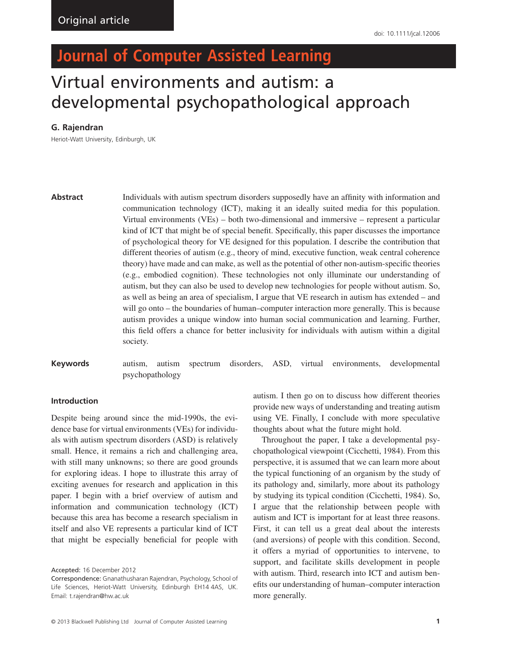## Journal of Computer Assisted Learning

# Virtual environments and autism: a developmental psychopathological approach

#### **G. Rajendran**

Heriot-Watt University, Edinburgh, UK

**Abstract** Individuals with autism spectrum disorders supposedly have an affinity with information and communication technology (ICT), making it an ideally suited media for this population. Virtual environments (VEs) – both two-dimensional and immersive – represent a particular kind of ICT that might be of special benefit. Specifically, this paper discusses the importance of psychological theory for VE designed for this population. I describe the contribution that different theories of autism (e.g., theory of mind, executive function, weak central coherence theory) have made and can make, as well as the potential of other non-autism-specific theories (e.g., embodied cognition). These technologies not only illuminate our understanding of autism, but they can also be used to develop new technologies for people without autism. So, as well as being an area of specialism, I argue that VE research in autism has extended – and will go onto – the boundaries of human–computer interaction more generally. This is because autism provides a unique window into human social communication and learning. Further, this field offers a chance for better inclusivity for individuals with autism within a digital society.

**Keywords** autism, autism spectrum disorders, ASD, virtual environments, developmental psychopathology

#### **Introduction**

Despite being around since the mid-1990s, the evidence base for virtual environments (VEs) for individuals with autism spectrum disorders (ASD) is relatively small. Hence, it remains a rich and challenging area, with still many unknowns; so there are good grounds for exploring ideas. I hope to illustrate this array of exciting avenues for research and application in this paper. I begin with a brief overview of autism and information and communication technology (ICT) because this area has become a research specialism in itself and also VE represents a particular kind of ICT that might be especially beneficial for people with

Accepted: 16 December 2012

autism. I then go on to discuss how different theories provide new ways of understanding and treating autism using VE. Finally, I conclude with more speculative thoughts about what the future might hold.

Throughout the paper, I take a developmental psychopathological viewpoint (Cicchetti, 1984). From this perspective, it is assumed that we can learn more about the typical functioning of an organism by the study of its pathology and, similarly, more about its pathology by studying its typical condition (Cicchetti, 1984). So, I argue that the relationship between people with autism and ICT is important for at least three reasons. First, it can tell us a great deal about the interests (and aversions) of people with this condition. Second, it offers a myriad of opportunities to intervene, to support, and facilitate skills development in people with autism. Third, research into ICT and autism benefits our understanding of human–computer interaction more generally.

Correspondence: Gnanathusharan Rajendran, Psychology, School of Life Sciences, Heriot-Watt University, Edinburgh EH14 4AS, UK. Email: t.rajendran@hw.ac.uk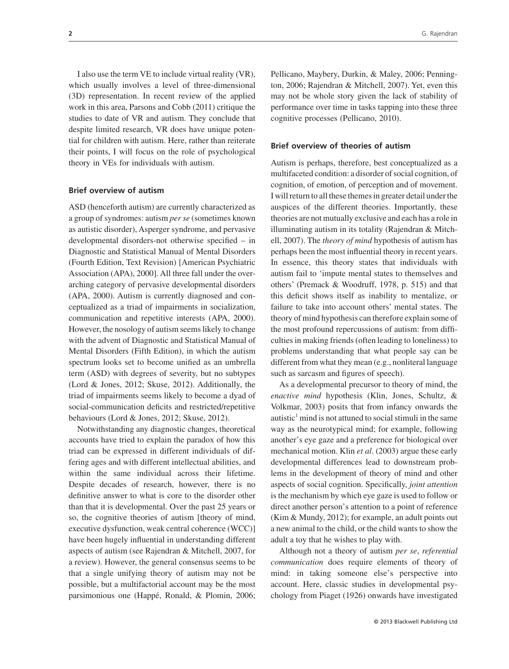I also use the term VE to include virtual reality (VR), which usually involves a level of three-dimensional (3D) representation. In recent review of the applied work in this area, Parsons and Cobb (2011) critique the studies to date of VR and autism. They conclude that despite limited research, VR does have unique potential for children with autism. Here, rather than reiterate their points, I will focus on the role of psychological theory in VEs for individuals with autism.

#### **Brief overview of autism**

ASD (henceforth autism) are currently characterized as a group of syndromes: autism *per se* (sometimes known as autistic disorder), Asperger syndrome, and pervasive developmental disorders-not otherwise specified – in Diagnostic and Statistical Manual of Mental Disorders (Fourth Edition, Text Revision) [American Psychiatric Association (APA), 2000]. All three fall under the overarching category of pervasive developmental disorders (APA, 2000). Autism is currently diagnosed and conceptualized as a triad of impairments in socialization, communication and repetitive interests (APA, 2000). However, the nosology of autism seems likely to change with the advent of Diagnostic and Statistical Manual of Mental Disorders (Fifth Edition), in which the autism spectrum looks set to become unified as an umbrella term (ASD) with degrees of severity, but no subtypes (Lord & Jones, 2012; Skuse, 2012). Additionally, the triad of impairments seems likely to become a dyad of social-communication deficits and restricted/repetitive behaviours (Lord & Jones, 2012; Skuse, 2012).

Notwithstanding any diagnostic changes, theoretical accounts have tried to explain the paradox of how this triad can be expressed in different individuals of differing ages and with different intellectual abilities, and within the same individual across their lifetime. Despite decades of research, however, there is no definitive answer to what is core to the disorder other than that it is developmental. Over the past 25 years or so, the cognitive theories of autism [theory of mind, executive dysfunction, weak central coherence (WCC)] have been hugely influential in understanding different aspects of autism (see Rajendran & Mitchell, 2007, for a review). However, the general consensus seems to be that a single unifying theory of autism may not be possible, but a multifactorial account may be the most parsimonious one (Happé, Ronald, & Plomin, 2006;

Pellicano, Maybery, Durkin, & Maley, 2006; Pennington, 2006; Rajendran & Mitchell, 2007). Yet, even this may not be whole story given the lack of stability of performance over time in tasks tapping into these three cognitive processes (Pellicano, 2010).

#### **Brief overview of theories of autism**

Autism is perhaps, therefore, best conceptualized as a multifaceted condition: a disorder of social cognition, of cognition, of emotion, of perception and of movement. I will return to all these themes in greater detail under the auspices of the different theories. Importantly, these theories are not mutually exclusive and each has a role in illuminating autism in its totality (Rajendran & Mitchell, 2007). The *theory of mind* hypothesis of autism has perhaps been the most influential theory in recent years. In essence, this theory states that individuals with autism fail to 'impute mental states to themselves and others' (Premack & Woodruff, 1978, p. 515) and that this deficit shows itself as inability to mentalize, or failure to take into account others' mental states. The theory of mind hypothesis can therefore explain some of the most profound repercussions of autism: from difficulties in making friends (often leading to loneliness) to problems understanding that what people say can be different from what they mean (e.g., nonliteral language such as sarcasm and figures of speech).

As a developmental precursor to theory of mind, the *enactive mind* hypothesis (Klin, Jones, Schultz, & Volkmar, 2003) posits that from infancy onwards the autistic<sup>1</sup> mind is not attuned to social stimuli in the same way as the neurotypical mind; for example, following another's eye gaze and a preference for biological over mechanical motion. Klin *et al*. (2003) argue these early developmental differences lead to downstream problems in the development of theory of mind and other aspects of social cognition. Specifically, *joint attention* is the mechanism by which eye gaze is used to follow or direct another person's attention to a point of reference (Kim & Mundy, 2012); for example, an adult points out a new animal to the child, or the child wants to show the adult a toy that he wishes to play with.

Although not a theory of autism *per se*, *referential communication* does require elements of theory of mind: in taking someone else's perspective into account. Here, classic studies in developmental psychology from Piaget (1926) onwards have investigated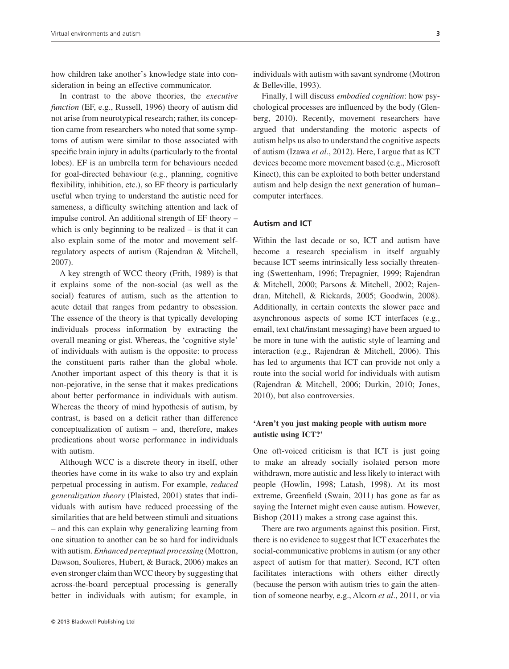how children take another's knowledge state into consideration in being an effective communicator.

In contrast to the above theories, the *executive function* (EF, e.g., Russell, 1996) theory of autism did not arise from neurotypical research; rather, its conception came from researchers who noted that some symptoms of autism were similar to those associated with specific brain injury in adults (particularly to the frontal lobes). EF is an umbrella term for behaviours needed for goal-directed behaviour (e.g., planning, cognitive flexibility, inhibition, etc.), so EF theory is particularly useful when trying to understand the autistic need for sameness, a difficulty switching attention and lack of impulse control. An additional strength of EF theory – which is only beginning to be realized – is that it can also explain some of the motor and movement selfregulatory aspects of autism (Rajendran & Mitchell, 2007).

A key strength of WCC theory (Frith, 1989) is that it explains some of the non-social (as well as the social) features of autism, such as the attention to acute detail that ranges from pedantry to obsession. The essence of the theory is that typically developing individuals process information by extracting the overall meaning or gist. Whereas, the 'cognitive style' of individuals with autism is the opposite: to process the constituent parts rather than the global whole. Another important aspect of this theory is that it is non-pejorative, in the sense that it makes predications about better performance in individuals with autism. Whereas the theory of mind hypothesis of autism, by contrast, is based on a deficit rather than difference conceptualization of autism – and, therefore, makes predications about worse performance in individuals with autism.

Although WCC is a discrete theory in itself, other theories have come in its wake to also try and explain perpetual processing in autism. For example, *reduced generalization theory* (Plaisted, 2001) states that individuals with autism have reduced processing of the similarities that are held between stimuli and situations – and this can explain why generalizing learning from one situation to another can be so hard for individuals with autism. *Enhanced perceptual processing* (Mottron, Dawson, Soulieres, Hubert, & Burack, 2006) makes an even stronger claim thanWCC theory by suggesting that across-the-board perceptual processing is generally better in individuals with autism; for example, in

Finally, I will discuss *embodied cognition*: how psychological processes are influenced by the body (Glenberg, 2010). Recently, movement researchers have argued that understanding the motoric aspects of autism helps us also to understand the cognitive aspects of autism (Izawa *et al*., 2012). Here, I argue that as ICT devices become more movement based (e.g., Microsoft Kinect), this can be exploited to both better understand autism and help design the next generation of human– computer interfaces.

#### **Autism and ICT**

Within the last decade or so, ICT and autism have become a research specialism in itself arguably because ICT seems intrinsically less socially threatening (Swettenham, 1996; Trepagnier, 1999; Rajendran & Mitchell, 2000; Parsons & Mitchell, 2002; Rajendran, Mitchell, & Rickards, 2005; Goodwin, 2008). Additionally, in certain contexts the slower pace and asynchronous aspects of some ICT interfaces (e.g., email, text chat/instant messaging) have been argued to be more in tune with the autistic style of learning and interaction (e.g., Rajendran & Mitchell, 2006). This has led to arguments that ICT can provide not only a route into the social world for individuals with autism (Rajendran & Mitchell, 2006; Durkin, 2010; Jones, 2010), but also controversies.

#### **'Aren't you just making people with autism more autistic using ICT?'**

One oft-voiced criticism is that ICT is just going to make an already socially isolated person more withdrawn, more autistic and less likely to interact with people (Howlin, 1998; Latash, 1998). At its most extreme, Greenfield (Swain, 2011) has gone as far as saying the Internet might even cause autism. However, Bishop (2011) makes a strong case against this.

There are two arguments against this position. First, there is no evidence to suggest that ICT exacerbates the social-communicative problems in autism (or any other aspect of autism for that matter). Second, ICT often facilitates interactions with others either directly (because the person with autism tries to gain the attention of someone nearby, e.g., Alcorn *et al*., 2011, or via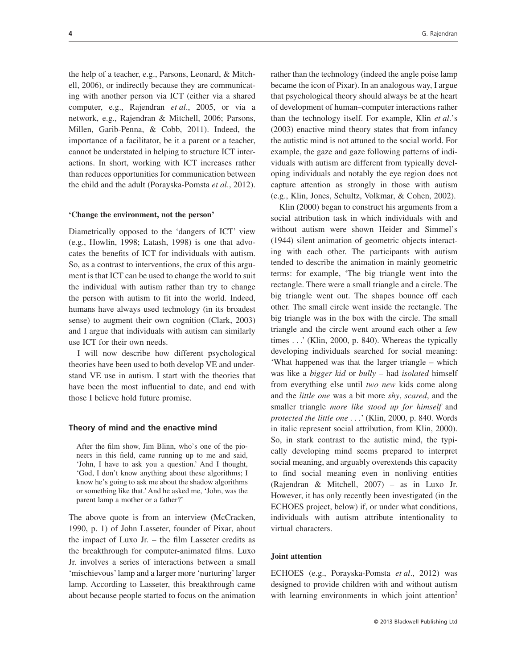the help of a teacher, e.g., Parsons, Leonard, & Mitchell, 2006), or indirectly because they are communicating with another person via ICT (either via a shared computer, e.g., Rajendran *et al*., 2005, or via a network, e.g., Rajendran & Mitchell, 2006; Parsons, Millen, Garib-Penna, & Cobb, 2011). Indeed, the importance of a facilitator, be it a parent or a teacher, cannot be understated in helping to structure ICT interactions. In short, working with ICT increases rather than reduces opportunities for communication between the child and the adult (Porayska-Pomsta *et al*., 2012).

#### **'Change the environment, not the person'**

Diametrically opposed to the 'dangers of ICT' view (e.g., Howlin, 1998; Latash, 1998) is one that advocates the benefits of ICT for individuals with autism. So, as a contrast to interventions, the crux of this argument is that ICT can be used to change the world to suit the individual with autism rather than try to change the person with autism to fit into the world. Indeed, humans have always used technology (in its broadest sense) to augment their own cognition (Clark, 2003) and I argue that individuals with autism can similarly use ICT for their own needs.

I will now describe how different psychological theories have been used to both develop VE and understand VE use in autism. I start with the theories that have been the most influential to date, and end with those I believe hold future promise.

#### **Theory of mind and the enactive mind**

After the film show, Jim Blinn, who's one of the pioneers in this field, came running up to me and said, 'John, I have to ask you a question.' And I thought, 'God, I don't know anything about these algorithms; I know he's going to ask me about the shadow algorithms or something like that.'And he asked me, 'John, was the parent lamp a mother or a father?'

The above quote is from an interview (McCracken, 1990, p. 1) of John Lasseter, founder of Pixar, about the impact of Luxo Jr. – the film Lasseter credits as the breakthrough for computer-animated films. Luxo Jr. involves a series of interactions between a small 'mischievous'lamp and a larger more 'nurturing'larger lamp. According to Lasseter, this breakthrough came about because people started to focus on the animation

rather than the technology (indeed the angle poise lamp became the icon of Pixar). In an analogous way, I argue that psychological theory should always be at the heart of development of human–computer interactions rather than the technology itself. For example, Klin *et al*.'s (2003) enactive mind theory states that from infancy the autistic mind is not attuned to the social world. For example, the gaze and gaze following patterns of individuals with autism are different from typically developing individuals and notably the eye region does not capture attention as strongly in those with autism (e.g., Klin, Jones, Schultz, Volkmar, & Cohen, 2002).

Klin (2000) began to construct his arguments from a social attribution task in which individuals with and without autism were shown Heider and Simmel's (1944) silent animation of geometric objects interacting with each other. The participants with autism tended to describe the animation in mainly geometric terms: for example, 'The big triangle went into the rectangle. There were a small triangle and a circle. The big triangle went out. The shapes bounce off each other. The small circle went inside the rectangle. The big triangle was in the box with the circle. The small triangle and the circle went around each other a few times . . .' (Klin, 2000, p. 840). Whereas the typically developing individuals searched for social meaning: 'What happened was that the larger triangle – which was like a *bigger kid* or *bully –* had *isolated* himself from everything else until *two new* kids come along and the *little one* was a bit more *shy*, *scared*, and the smaller triangle *more like stood up for himself* and *protected the little one . . .*' (Klin, 2000, p. 840. Words in italic represent social attribution, from Klin, 2000). So, in stark contrast to the autistic mind, the typically developing mind seems prepared to interpret social meaning, and arguably overextends this capacity to find social meaning even in nonliving entities (Rajendran & Mitchell, 2007) – as in Luxo Jr. However, it has only recently been investigated (in the ECHOES project, below) if, or under what conditions, individuals with autism attribute intentionality to virtual characters.

#### **Joint attention**

ECHOES (e.g., Porayska-Pomsta *et al*., 2012) was designed to provide children with and without autism with learning environments in which joint attention<sup>2</sup>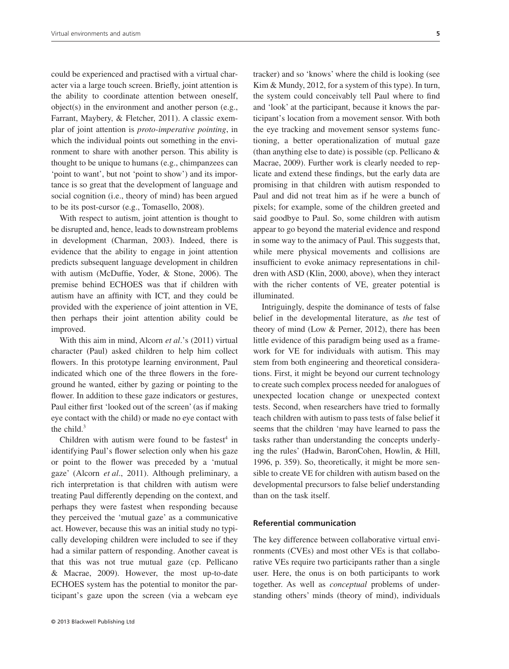could be experienced and practised with a virtual character via a large touch screen. Briefly, joint attention is the ability to coordinate attention between oneself, object(s) in the environment and another person (e.g., Farrant, Maybery, & Fletcher, 2011). A classic exemplar of joint attention is *proto-imperative pointing*, in which the individual points out something in the environment to share with another person. This ability is thought to be unique to humans (e.g., chimpanzees can 'point to want', but not 'point to show') and its importance is so great that the development of language and social cognition (i.e., theory of mind) has been argued to be its post-cursor (e.g., Tomasello, 2008).

With respect to autism, joint attention is thought to be disrupted and, hence, leads to downstream problems in development (Charman, 2003). Indeed, there is evidence that the ability to engage in joint attention predicts subsequent language development in children with autism (McDuffie, Yoder, & Stone, 2006). The premise behind ECHOES was that if children with autism have an affinity with ICT, and they could be provided with the experience of joint attention in VE, then perhaps their joint attention ability could be improved.

With this aim in mind, Alcorn *et al*.'s (2011) virtual character (Paul) asked children to help him collect flowers. In this prototype learning environment, Paul indicated which one of the three flowers in the foreground he wanted, either by gazing or pointing to the flower. In addition to these gaze indicators or gestures, Paul either first 'looked out of the screen' (as if making eye contact with the child) or made no eye contact with the child. $3$ 

Children with autism were found to be fastest<sup>4</sup> in identifying Paul's flower selection only when his gaze or point to the flower was preceded by a 'mutual gaze' (Alcorn *et al*., 2011). Although preliminary, a rich interpretation is that children with autism were treating Paul differently depending on the context, and perhaps they were fastest when responding because they perceived the 'mutual gaze' as a communicative act. However, because this was an initial study no typically developing children were included to see if they had a similar pattern of responding. Another caveat is that this was not true mutual gaze (cp. Pellicano & Macrae, 2009). However, the most up-to-date ECHOES system has the potential to monitor the participant's gaze upon the screen (via a webcam eye tracker) and so 'knows' where the child is looking (see Kim & Mundy, 2012, for a system of this type). In turn, the system could conceivably tell Paul where to find and 'look' at the participant, because it knows the participant's location from a movement sensor. With both the eye tracking and movement sensor systems functioning, a better operationalization of mutual gaze (than anything else to date) is possible (cp. Pellicano & Macrae, 2009). Further work is clearly needed to replicate and extend these findings, but the early data are promising in that children with autism responded to Paul and did not treat him as if he were a bunch of pixels; for example, some of the children greeted and said goodbye to Paul. So, some children with autism appear to go beyond the material evidence and respond in some way to the animacy of Paul. This suggests that, while mere physical movements and collisions are insufficient to evoke animacy representations in children with ASD (Klin, 2000, above), when they interact with the richer contents of VE, greater potential is illuminated.

Intriguingly, despite the dominance of tests of false belief in the developmental literature, as *the* test of theory of mind (Low & Perner, 2012), there has been little evidence of this paradigm being used as a framework for VE for individuals with autism. This may stem from both engineering and theoretical considerations. First, it might be beyond our current technology to create such complex process needed for analogues of unexpected location change or unexpected context tests. Second, when researchers have tried to formally teach children with autism to pass tests of false belief it seems that the children 'may have learned to pass the tasks rather than understanding the concepts underlying the rules' (Hadwin, BaronCohen, Howlin, & Hill, 1996, p. 359). So, theoretically, it might be more sensible to create VE for children with autism based on the developmental precursors to false belief understanding than on the task itself.

#### **Referential communication**

The key difference between collaborative virtual environments (CVEs) and most other VEs is that collaborative VEs require two participants rather than a single user. Here, the onus is on both participants to work together. As well as *conceptual* problems of understanding others' minds (theory of mind), individuals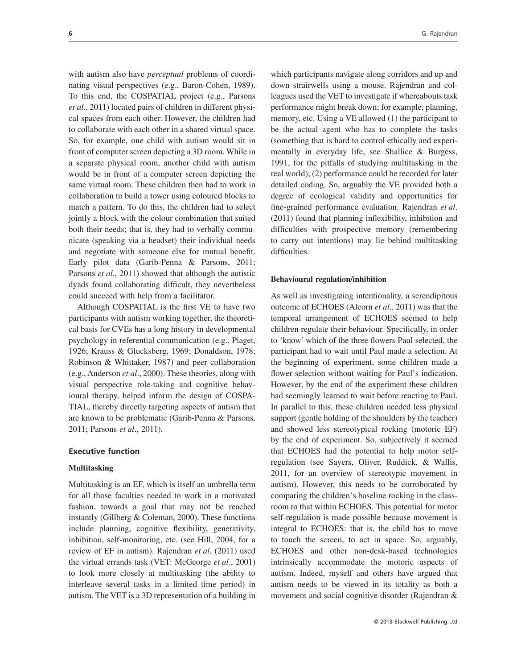with autism also have *perceptual* problems of coordinating visual perspectives (e.g., Baron-Cohen, 1989). To this end, the COSPATIAL project (e.g., Parsons *et al*., 2011) located pairs of children in different physical spaces from each other. However, the children had to collaborate with each other in a shared virtual space. So, for example, one child with autism would sit in front of computer screen depicting a 3D room. While in a separate physical room, another child with autism would be in front of a computer screen depicting the same virtual room. These children then had to work in collaboration to build a tower using coloured blocks to match a pattern. To do this, the children had to select jointly a block with the colour combination that suited both their needs; that is, they had to verbally communicate (speaking via a headset) their individual needs and negotiate with someone else for mutual benefit. Early pilot data (Garib-Penna & Parsons, 2011; Parsons *et al*., 2011) showed that although the autistic dyads found collaborating difficult, they nevertheless could succeed with help from a facilitator.

Although COSPATIAL is the first VE to have two participants with autism working together, the theoretical basis for CVEs has a long history in developmental psychology in referential communication (e.g., Piaget, 1926; Krauss & Glucksberg, 1969; Donaldson, 1978; Robinson & Whittaker, 1987) and peer collaboration (e.g., Anderson *et al*., 2000). These theories, along with visual perspective role-taking and cognitive behavioural therapy, helped inform the design of COSPA-TIAL, thereby directly targeting aspects of autism that are known to be problematic (Garib-Penna & Parsons, 2011; Parsons *et al*., 2011).

#### **Executive function**

#### **Multitasking**

Multitasking is an EF, which is itself an umbrella term for all those faculties needed to work in a motivated fashion, towards a goal that may not be reached instantly (Gillberg & Coleman, 2000). These functions include planning, cognitive flexibility, generativity, inhibition, self-monitoring, etc. (see Hill, 2004, for a review of EF in autism). Rajendran *et al*. (2011) used the virtual errands task (VET: McGeorge *et al*., 2001) to look more closely at multitasking (the ability to interleave several tasks in a limited time period) in autism. The VET is a 3D representation of a building in

which participants navigate along corridors and up and down strairwells using a mouse. Rajendran and colleagues used the VET to investigate if whereabouts task performance might break down; for example, planning, memory, etc. Using a VE allowed (1) the participant to be the actual agent who has to complete the tasks (something that is hard to control ethically and experimentally in everyday life, see Shallice & Burgess, 1991, for the pitfalls of studying multitasking in the real world); (2) performance could be recorded for later detailed coding. So, arguably the VE provided both a degree of ecological validity and opportunities for fine-grained performance evaluation. Rajendran *et al*. (2011) found that planning inflexibility, inhibition and difficulties with prospective memory (remembering to carry out intentions) may lie behind multitasking difficulties.

#### **Behavioural regulation/inhibition**

As well as investigating intentionality, a serendipitous outcome of ECHOES (Alcorn *et al*., 2011) was that the temporal arrangement of ECHOES seemed to help children regulate their behaviour. Specifically, in order to 'know' which of the three flowers Paul selected, the participant had to wait until Paul made a selection. At the beginning of experiment, some children made a flower selection without waiting for Paul's indication. However, by the end of the experiment these children had seemingly learned to wait before reacting to Paul. In parallel to this, these children needed less physical support (gentle holding of the shoulders by the teacher) and showed less stereotypical rocking (motoric EF) by the end of experiment. So, subjectively it seemed that ECHOES had the potential to help motor selfregulation (see Sayers, Oliver, Ruddick, & Wallis, 2011, for an overview of stereotypic movement in autism). However, this needs to be corroborated by comparing the children's baseline rocking in the classroom to that within ECHOES. This potential for motor self-regulation is made possible because movement is integral to ECHOES: that is, the child has to move to touch the screen, to act in space. So, arguably, ECHOES and other non-desk-based technologies intrinsically accommodate the motoric aspects of autism. Indeed, myself and others have argued that autism needs to be viewed in its totality as both a movement and social cognitive disorder (Rajendran &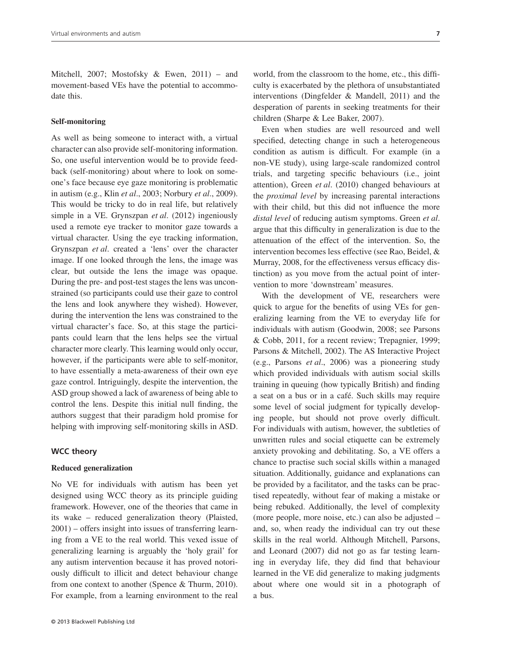Mitchell, 2007; Mostofsky & Ewen, 2011) – and movement-based VEs have the potential to accommodate this.

#### **Self-monitoring**

As well as being someone to interact with, a virtual character can also provide self-monitoring information. So, one useful intervention would be to provide feedback (self-monitoring) about where to look on someone's face because eye gaze monitoring is problematic in autism (e.g., Klin *et al*., 2003; Norbury *et al*., 2009). This would be tricky to do in real life, but relatively simple in a VE. Grynszpan *et al*. (2012) ingeniously used a remote eye tracker to monitor gaze towards a virtual character. Using the eye tracking information, Grynszpan *et al*. created a 'lens' over the character image. If one looked through the lens, the image was clear, but outside the lens the image was opaque. During the pre- and post-test stages the lens was unconstrained (so participants could use their gaze to control the lens and look anywhere they wished). However, during the intervention the lens was constrained to the virtual character's face. So, at this stage the participants could learn that the lens helps see the virtual character more clearly. This learning would only occur, however, if the participants were able to self-monitor, to have essentially a meta-awareness of their own eye gaze control. Intriguingly, despite the intervention, the ASD group showed a lack of awareness of being able to control the lens. Despite this initial null finding, the authors suggest that their paradigm hold promise for helping with improving self-monitoring skills in ASD.

#### **WCC theory**

#### **Reduced generalization**

No VE for individuals with autism has been yet designed using WCC theory as its principle guiding framework. However, one of the theories that came in its wake – reduced generalization theory (Plaisted, 2001) – offers insight into issues of transferring learning from a VE to the real world. This vexed issue of generalizing learning is arguably the 'holy grail' for any autism intervention because it has proved notoriously difficult to illicit and detect behaviour change from one context to another (Spence & Thurm, 2010). For example, from a learning environment to the real world, from the classroom to the home, etc., this difficulty is exacerbated by the plethora of unsubstantiated interventions (Dingfelder & Mandell, 2011) and the desperation of parents in seeking treatments for their

children (Sharpe & Lee Baker, 2007).

Even when studies are well resourced and well specified, detecting change in such a heterogeneous condition as autism is difficult. For example (in a non-VE study), using large-scale randomized control trials, and targeting specific behaviours (i.e., joint attention), Green *et al*. (2010) changed behaviours at the *proximal level* by increasing parental interactions with their child, but this did not influence the more *distal level* of reducing autism symptoms. Green *et al*. argue that this difficulty in generalization is due to the attenuation of the effect of the intervention. So, the intervention becomes less effective (see Rao, Beidel, & Murray, 2008, for the effectiveness versus efficacy distinction) as you move from the actual point of intervention to more 'downstream' measures.

With the development of VE, researchers were quick to argue for the benefits of using VEs for generalizing learning from the VE to everyday life for individuals with autism (Goodwin, 2008; see Parsons & Cobb, 2011, for a recent review; Trepagnier, 1999; Parsons & Mitchell, 2002). The AS Interactive Project (e.g., Parsons *et al*., 2006) was a pioneering study which provided individuals with autism social skills training in queuing (how typically British) and finding a seat on a bus or in a café. Such skills may require some level of social judgment for typically developing people, but should not prove overly difficult. For individuals with autism, however, the subtleties of unwritten rules and social etiquette can be extremely anxiety provoking and debilitating. So, a VE offers a chance to practise such social skills within a managed situation. Additionally, guidance and explanations can be provided by a facilitator, and the tasks can be practised repeatedly, without fear of making a mistake or being rebuked. Additionally, the level of complexity (more people, more noise, etc.) can also be adjusted – and, so, when ready the individual can try out these skills in the real world. Although Mitchell, Parsons, and Leonard (2007) did not go as far testing learning in everyday life, they did find that behaviour learned in the VE did generalize to making judgments about where one would sit in a photograph of a bus.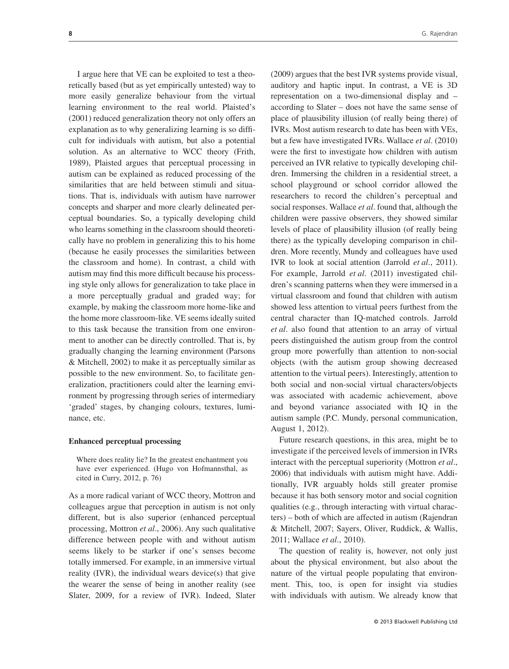I argue here that VE can be exploited to test a theoretically based (but as yet empirically untested) way to more easily generalize behaviour from the virtual learning environment to the real world. Plaisted's (2001) reduced generalization theory not only offers an explanation as to why generalizing learning is so difficult for individuals with autism, but also a potential solution. As an alternative to WCC theory (Frith, 1989), Plaisted argues that perceptual processing in autism can be explained as reduced processing of the similarities that are held between stimuli and situations. That is, individuals with autism have narrower concepts and sharper and more clearly delineated perceptual boundaries. So, a typically developing child who learns something in the classroom should theoretically have no problem in generalizing this to his home (because he easily processes the similarities between the classroom and home). In contrast, a child with autism may find this more difficult because his processing style only allows for generalization to take place in a more perceptually gradual and graded way; for example, by making the classroom more home-like and the home more classroom-like. VE seems ideally suited to this task because the transition from one environment to another can be directly controlled. That is, by gradually changing the learning environment (Parsons & Mitchell, 2002) to make it as perceptually similar as possible to the new environment. So, to facilitate generalization, practitioners could alter the learning environment by progressing through series of intermediary 'graded' stages, by changing colours, textures, luminance, etc.

#### **Enhanced perceptual processing**

Where does reality lie? In the greatest enchantment you have ever experienced. (Hugo von Hofmannsthal, as cited in Curry, 2012, p. 76)

As a more radical variant of WCC theory, Mottron and colleagues argue that perception in autism is not only different, but is also superior (enhanced perceptual processing, Mottron *et al*., 2006). Any such qualitative difference between people with and without autism seems likely to be starker if one's senses become totally immersed. For example, in an immersive virtual reality (IVR), the individual wears device(s) that give the wearer the sense of being in another reality (see Slater, 2009, for a review of IVR). Indeed, Slater

(2009) argues that the best IVR systems provide visual, auditory and haptic input. In contrast, a VE is 3D representation on a two-dimensional display and – according to Slater – does not have the same sense of place of plausibility illusion (of really being there) of IVRs. Most autism research to date has been with VEs, but a few have investigated IVRs. Wallace *et al*. (2010) were the first to investigate how children with autism perceived an IVR relative to typically developing children. Immersing the children in a residential street, a school playground or school corridor allowed the researchers to record the children's perceptual and social responses. Wallace *et al*. found that, although the children were passive observers, they showed similar levels of place of plausibility illusion (of really being there) as the typically developing comparison in children. More recently, Mundy and colleagues have used IVR to look at social attention (Jarrold *et al*., 2011). For example, Jarrold *et al*. (2011) investigated children's scanning patterns when they were immersed in a virtual classroom and found that children with autism showed less attention to virtual peers furthest from the central character than IQ-matched controls. Jarrold *et al*. also found that attention to an array of virtual peers distinguished the autism group from the control group more powerfully than attention to non-social objects (with the autism group showing decreased attention to the virtual peers). Interestingly, attention to both social and non-social virtual characters/objects was associated with academic achievement, above and beyond variance associated with IQ in the autism sample (P.C. Mundy, personal communication, August 1, 2012).

Future research questions, in this area, might be to investigate if the perceived levels of immersion in IVRs interact with the perceptual superiority (Mottron *et al*., 2006) that individuals with autism might have. Additionally, IVR arguably holds still greater promise because it has both sensory motor and social cognition qualities (e.g., through interacting with virtual characters) – both of which are affected in autism (Rajendran & Mitchell, 2007; Sayers, Oliver, Ruddick, & Wallis, 2011; Wallace *et al*., 2010).

The question of reality is, however, not only just about the physical environment, but also about the nature of the virtual people populating that environment. This, too, is open for insight via studies with individuals with autism. We already know that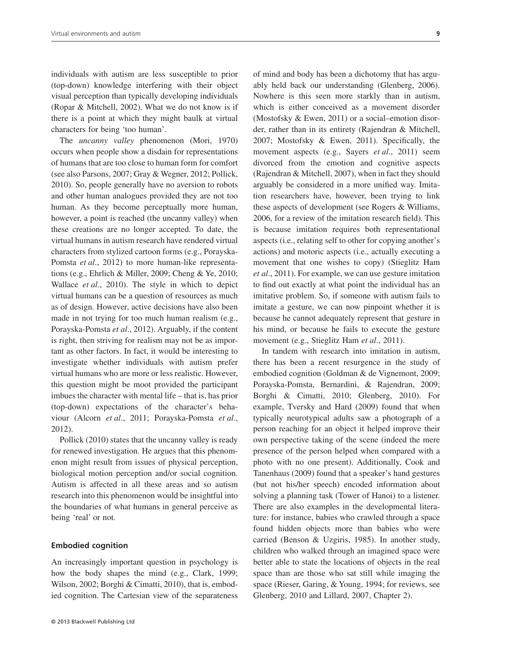individuals with autism are less susceptible to prior (top-down) knowledge interfering with their object visual perception than typically developing individuals (Ropar & Mitchell, 2002). What we do not know is if there is a point at which they might baulk at virtual characters for being 'too human'.

The *uncanny valley* phenomenon (Mori, 1970) occurs when people show a disdain for representations of humans that are too close to human form for comfort (see also Parsons, 2007; Gray & Wegner, 2012; Pollick, 2010). So, people generally have no aversion to robots and other human analogues provided they are not too human. As they become perceptually more human, however, a point is reached (the uncanny valley) when these creations are no longer accepted. To date, the virtual humans in autism research have rendered virtual characters from stylized cartoon forms (e.g., Porayska-Pomsta *et al*., 2012) to more human-like representations (e.g., Ehrlich & Miller, 2009; Cheng & Ye, 2010; Wallace *et al*., 2010). The style in which to depict virtual humans can be a question of resources as much as of design. However, active decisions have also been made in not trying for too much human realism (e.g., Porayska-Pomsta *et al*., 2012). Arguably, if the content is right, then striving for realism may not be as important as other factors. In fact, it would be interesting to investigate whether individuals with autism prefer virtual humans who are more or less realistic. However, this question might be moot provided the participant imbues the character with mental life – that is, has prior (top-down) expectations of the character's behaviour (Alcorn *et al*., 2011; Porayska-Pomsta *et al*., 2012).

Pollick (2010) states that the uncanny valley is ready for renewed investigation. He argues that this phenomenon might result from issues of physical perception, biological motion perception and/or social cognition. Autism is affected in all these areas and so autism research into this phenomenon would be insightful into the boundaries of what humans in general perceive as being 'real' or not.

#### **Embodied cognition**

An increasingly important question in psychology is how the body shapes the mind (e.g., Clark, 1999; Wilson, 2002; Borghi & Cimatti, 2010), that is, embodied cognition. The Cartesian view of the separateness of mind and body has been a dichotomy that has arguably held back our understanding (Glenberg, 2006). Nowhere is this seen more starkly than in autism, which is either conceived as a movement disorder (Mostofsky & Ewen, 2011) or a social–emotion disorder, rather than in its entirety (Rajendran & Mitchell, 2007; Mostofsky & Ewen, 2011). Specifically, the movement aspects (e.g., Sayers *et al*., 2011) seem divorced from the emotion and cognitive aspects (Rajendran & Mitchell, 2007), when in fact they should arguably be considered in a more unified way. Imitation researchers have, however, been trying to link these aspects of development (see Rogers & Williams, 2006, for a review of the imitation research field). This is because imitation requires both representational aspects (i.e., relating self to other for copying another's actions) and motoric aspects (i.e., actually executing a movement that one wishes to copy) (Stieglitz Ham *et al*., 2011). For example, we can use gesture imitation to find out exactly at what point the individual has an imitative problem. So, if someone with autism fails to imitate a gesture, we can now pinpoint whether it is because he cannot adequately represent that gesture in his mind, or because he fails to execute the gesture movement (e.g., Stieglitz Ham *et al*., 2011).

In tandem with research into imitation in autism, there has been a recent resurgence in the study of embodied cognition (Goldman & de Vignemont, 2009; Porayska-Pomsta, Bernardini, & Rajendran, 2009; Borghi & Cimatti, 2010; Glenberg, 2010). For example, Tversky and Hard (2009) found that when typically neurotypical adults saw a photograph of a person reaching for an object it helped improve their own perspective taking of the scene (indeed the mere presence of the person helped when compared with a photo with no one present). Additionally, Cook and Tanenhaus (2009) found that a speaker's hand gestures (but not his/her speech) encoded information about solving a planning task (Tower of Hanoi) to a listener. There are also examples in the developmental literature: for instance, babies who crawled through a space found hidden objects more than babies who were carried (Benson & Uzgiris, 1985). In another study, children who walked through an imagined space were better able to state the locations of objects in the real space than are those who sat still while imaging the space (Rieser, Garing, & Young, 1994; for reviews, see Glenberg, 2010 and Lillard, 2007, Chapter 2).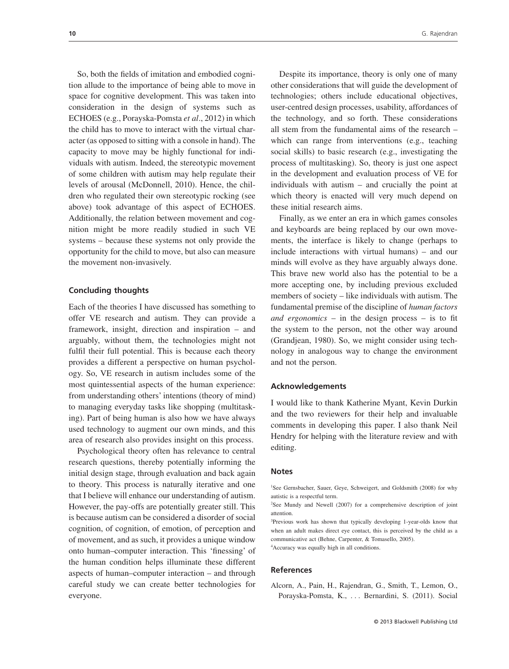So, both the fields of imitation and embodied cognition allude to the importance of being able to move in space for cognitive development. This was taken into consideration in the design of systems such as ECHOES (e.g., Porayska-Pomsta *et al*., 2012) in which the child has to move to interact with the virtual character (as opposed to sitting with a console in hand). The capacity to move may be highly functional for individuals with autism. Indeed, the stereotypic movement of some children with autism may help regulate their levels of arousal (McDonnell, 2010). Hence, the children who regulated their own stereotypic rocking (see above) took advantage of this aspect of ECHOES. Additionally, the relation between movement and cognition might be more readily studied in such VE systems – because these systems not only provide the opportunity for the child to move, but also can measure the movement non-invasively.

#### **Concluding thoughts**

Each of the theories I have discussed has something to offer VE research and autism. They can provide a framework, insight, direction and inspiration – and arguably, without them, the technologies might not fulfil their full potential. This is because each theory provides a different a perspective on human psychology. So, VE research in autism includes some of the most quintessential aspects of the human experience: from understanding others' intentions (theory of mind) to managing everyday tasks like shopping (multitasking). Part of being human is also how we have always used technology to augment our own minds, and this area of research also provides insight on this process.

Psychological theory often has relevance to central research questions, thereby potentially informing the initial design stage, through evaluation and back again to theory. This process is naturally iterative and one that I believe will enhance our understanding of autism. However, the pay-offs are potentially greater still. This is because autism can be considered a disorder of social cognition, of cognition, of emotion, of perception and of movement, and as such, it provides a unique window onto human–computer interaction. This 'finessing' of the human condition helps illuminate these different aspects of human–computer interaction – and through careful study we can create better technologies for everyone.

Despite its importance, theory is only one of many other considerations that will guide the development of technologies; others include educational objectives, user-centred design processes, usability, affordances of the technology, and so forth. These considerations all stem from the fundamental aims of the research – which can range from interventions (e.g., teaching social skills) to basic research (e.g., investigating the process of multitasking). So, theory is just one aspect in the development and evaluation process of VE for individuals with autism – and crucially the point at which theory is enacted will very much depend on these initial research aims.

Finally, as we enter an era in which games consoles and keyboards are being replaced by our own movements, the interface is likely to change (perhaps to include interactions with virtual humans) – and our minds will evolve as they have arguably always done. This brave new world also has the potential to be a more accepting one, by including previous excluded members of society – like individuals with autism. The fundamental premise of the discipline of *human factors and ergonomics* – in the design process – is to fit the system to the person, not the other way around (Grandjean, 1980). So, we might consider using technology in analogous way to change the environment and not the person.

#### **Acknowledgements**

I would like to thank Katherine Myant, Kevin Durkin and the two reviewers for their help and invaluable comments in developing this paper. I also thank Neil Hendry for helping with the literature review and with editing.

#### **Notes**

<sup>1</sup>See Gernsbacher, Sauer, Geye, Schweigert, and Goldsmith (2008) for why autistic is a respectful term.

<sup>3</sup>Previous work has shown that typically developing 1-year-olds know that when an adult makes direct eye contact, this is perceived by the child as a communicative act (Behne, Carpenter, & Tomasello, 2005).

4 Accuracy was equally high in all conditions.

#### **References**

Alcorn, A., Pain, H., Rajendran, G., Smith, T., Lemon, O., Porayska-Pomsta, K., . . . Bernardini, S. (2011). Social

<sup>2</sup> See Mundy and Newell (2007) for a comprehensive description of joint attention.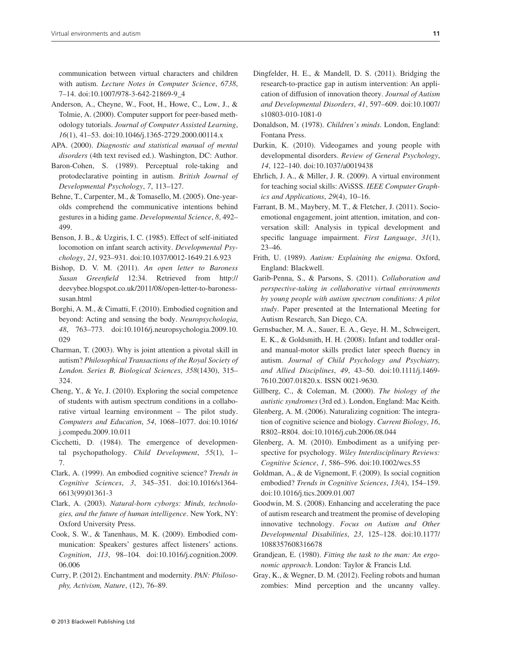communication between virtual characters and children with autism. *Lecture Notes in Computer Science*, *6738*, 7–14. doi:10.1007/978-3-642-21869-9\_4

- Anderson, A., Cheyne, W., Foot, H., Howe, C., Low, J., & Tolmie, A. (2000). Computer support for peer-based methodology tutorials. *Journal of Computer Assisted Learning*, *16*(1), 41–53. doi:10.1046/j.1365-2729.2000.00114.x
- APA. (2000). *Diagnostic and statistical manual of mental disorders* (4th text revised ed.). Washington, DC: Author.
- Baron-Cohen, S. (1989). Perceptual role-taking and protodeclarative pointing in autism. *British Journal of Developmental Psychology*, *7*, 113–127.
- Behne, T., Carpenter, M., & Tomasello, M. (2005). One-yearolds comprehend the communicative intentions behind gestures in a hiding game. *Developmental Science*, *8*, 492– 499.
- Benson, J. B., & Uzgiris, I. C. (1985). Effect of self-initiated locomotion on infant search activity. *Developmental Psychology*, *21*, 923–931. doi:10.1037/0012-1649.21.6.923
- Bishop, D. V. M. (2011). *An open letter to Baroness Susan Greenfield* 12:34. Retrieved from http:// deevybee.blogspot.co.uk/2011/08/open-letter-to-baronesssusan.html
- Borghi, A. M., & Cimatti, F. (2010). Embodied cognition and beyond: Acting and sensing the body. *Neuropsychologia*, *48*, 763–773. doi:10.1016/j.neuropsychologia.2009.10. 029
- Charman, T. (2003). Why is joint attention a pivotal skill in autism? *Philosophical Transactions of the Royal Society of London. Series B, Biological Sciences*, *358*(1430), 315– 324.
- Cheng, Y., & Ye, J. (2010). Exploring the social competence of students with autism spectrum conditions in a collaborative virtual learning environment – The pilot study. *Computers and Education*, *54*, 1068–1077. doi:10.1016/ j.compedu.2009.10.011
- Cicchetti, D. (1984). The emergence of developmental psychopathology. *Child Development*, *55*(1), 1– 7.
- Clark, A. (1999). An embodied cognitive science? *Trends in Cognitive Sciences*, *3*, 345–351. doi:10.1016/s1364- 6613(99)01361-3
- Clark, A. (2003). *Natural-born cyborgs: Minds, technologies, and the future of human intelligence*. New York, NY: Oxford University Press.
- Cook, S. W., & Tanenhaus, M. K. (2009). Embodied communication: Speakers' gestures affect listeners' actions. *Cognition*, *113*, 98–104. doi:10.1016/j.cognition.2009. 06.006
- Curry, P. (2012). Enchantment and modernity. *PAN: Philosophy, Activism, Nature*, (12), 76–89.
- Dingfelder, H. E., & Mandell, D. S. (2011). Bridging the research-to-practice gap in autism intervention: An application of diffusion of innovation theory. *Journal of Autism and Developmental Disorders*, *41*, 597–609. doi:10.1007/ s10803-010-1081-0
- Donaldson, M. (1978). *Children's minds*. London, England: Fontana Press.
- Durkin, K. (2010). Videogames and young people with developmental disorders. *Review of General Psychology*, *14*, 122–140. doi:10.1037/a0019438
- Ehrlich, J. A., & Miller, J. R. (2009). A virtual environment for teaching social skills: AViSSS. *IEEE Computer Graphics and Applications*, *29*(4), 10–16.
- Farrant, B. M., Maybery, M. T., & Fletcher, J. (2011). Socioemotional engagement, joint attention, imitation, and conversation skill: Analysis in typical development and specific language impairment. *First Language*, *31*(1), 23–46.
- Frith, U. (1989). *Autism: Explaining the enigma*. Oxford, England: Blackwell.
- Garib-Penna, S., & Parsons, S. (2011). *Collaboration and perspective-taking in collaborative virtual environments by young people with autism spectrum conditions: A pilot study*. Paper presented at the International Meeting for Autism Research, San Diego, CA.
- Gernsbacher, M. A., Sauer, E. A., Geye, H. M., Schweigert, E. K., & Goldsmith, H. H. (2008). Infant and toddler oraland manual-motor skills predict later speech fluency in autism. *Journal of Child Psychology and Psychiatry, and Allied Disciplines*, *49*, 43–50. doi:10.1111/j.1469- 7610.2007.01820.x. ISSN 0021-9630.
- Gillberg, C., & Coleman, M. (2000). *The biology of the autistic syndromes* (3rd ed.). London, England: Mac Keith.
- Glenberg, A. M. (2006). Naturalizing cognition: The integration of cognitive science and biology. *Current Biology*, *16*, R802–R804. doi:10.1016/j.cub.2006.08.044
- Glenberg, A. M. (2010). Embodiment as a unifying perspective for psychology. *Wiley Interdisciplinary Reviews: Cognitive Science*, *1*, 586–596. doi:10.1002/wcs.55
- Goldman, A., & de Vignemont, F. (2009). Is social cognition embodied? *Trends in Cognitive Sciences*, *13*(4), 154–159. doi:10.1016/j.tics.2009.01.007
- Goodwin, M. S. (2008). Enhancing and accelerating the pace of autism research and treatment the promise of developing innovative technology. *Focus on Autism and Other Developmental Disabilities*, *23*, 125–128. doi:10.1177/ 1088357608316678
- Grandjean, E. (1980). *Fitting the task to the man: An ergonomic approach*. London: Taylor & Francis Ltd.
- Gray, K., & Wegner, D. M. (2012). Feeling robots and human zombies: Mind perception and the uncanny valley.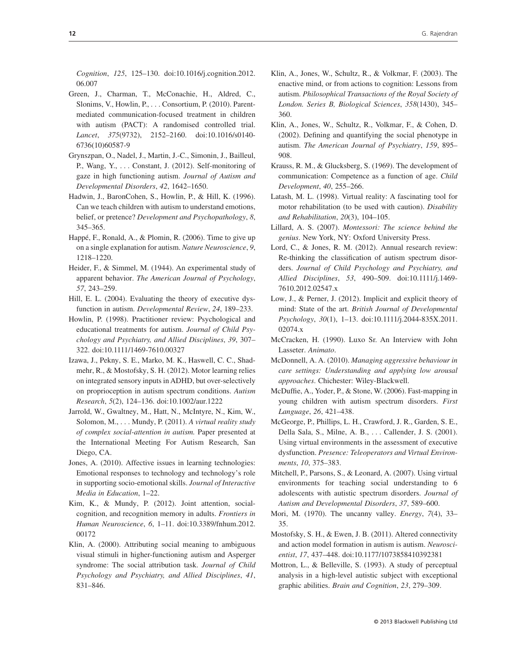*Cognition*, *125*, 125–130. doi:10.1016/j.cognition.2012. 06.007

- Green, J., Charman, T., McConachie, H., Aldred, C., Slonims, V., Howlin, P., . . . Consortium, P. (2010). Parentmediated communication-focused treatment in children with autism (PACT): A randomised controlled trial. *Lancet*, *375*(9732), 2152–2160. doi:10.1016/s0140- 6736(10)60587-9
- Grynszpan, O., Nadel, J., Martin, J.-C., Simonin, J., Bailleul, P., Wang, Y., . . . Constant, J. (2012). Self-monitoring of gaze in high functioning autism. *Journal of Autism and Developmental Disorders*, *42*, 1642–1650.
- Hadwin, J., BaronCohen, S., Howlin, P., & Hill, K. (1996). Can we teach children with autism to understand emotions, belief, or pretence? *Development and Psychopathology*, *8*, 345–365.
- Happé, F., Ronald, A., & Plomin, R. (2006). Time to give up on a single explanation for autism. *Nature Neuroscience*, *9*, 1218–1220.
- Heider, F., & Simmel, M. (1944). An experimental study of apparent behavior. *The American Journal of Psychology*, *57*, 243–259.
- Hill, E. L. (2004). Evaluating the theory of executive dysfunction in autism. *Developmental Review*, *24*, 189–233.
- Howlin, P. (1998). Practitioner review: Psychological and educational treatments for autism. *Journal of Child Psychology and Psychiatry, and Allied Disciplines*, *39*, 307– 322. doi:10.1111/1469-7610.00327
- Izawa, J., Pekny, S. E., Marko, M. K., Haswell, C. C., Shadmehr, R., & Mostofsky, S. H. (2012). Motor learning relies on integrated sensory inputs in ADHD, but over-selectively on proprioception in autism spectrum conditions. *Autism Research*, *5*(2), 124–136. doi:10.1002/aur.1222
- Jarrold, W., Gwaltney, M., Hatt, N., McIntyre, N., Kim, W., Solomon, M., . . . Mundy, P. (2011). *A virtual reality study of complex social-attention in autism.* Paper presented at the International Meeting For Autism Research, San Diego, CA.
- Jones, A. (2010). Affective issues in learning technologies: Emotional responses to technology and technology's role in supporting socio-emotional skills. *Journal of Interactive Media in Education*, 1–22.
- Kim, K., & Mundy, P. (2012). Joint attention, socialcognition, and recognition memory in adults. *Frontiers in Human Neuroscience*, *6*, 1–11. doi:10.3389/fnhum.2012. 00172
- Klin, A. (2000). Attributing social meaning to ambiguous visual stimuli in higher-functioning autism and Asperger syndrome: The social attribution task. *Journal of Child Psychology and Psychiatry, and Allied Disciplines*, *41*, 831–846.
- Klin, A., Jones, W., Schultz, R., & Volkmar, F. (2003). The enactive mind, or from actions to cognition: Lessons from autism. *Philosophical Transactions of the Royal Society of London. Series B, Biological Sciences*, *358*(1430), 345– 360.
- Klin, A., Jones, W., Schultz, R., Volkmar, F., & Cohen, D. (2002). Defining and quantifying the social phenotype in autism. *The American Journal of Psychiatry*, *159*, 895– 908.
- Krauss, R. M., & Glucksberg, S. (1969). The development of communication: Competence as a function of age. *Child Development*, *40*, 255–266.
- Latash, M. L. (1998). Virtual reality: A fascinating tool for motor rehabilitation (to be used with caution). *Disability and Rehabilitation*, *20*(3), 104–105.
- Lillard, A. S. (2007). *Montessori: The science behind the genius*. New York, NY: Oxford University Press.
- Lord, C., & Jones, R. M. (2012). Annual research review: Re-thinking the classification of autism spectrum disorders. *Journal of Child Psychology and Psychiatry, and Allied Disciplines*, *53*, 490–509. doi:10.1111/j.1469- 7610.2012.02547.x
- Low, J., & Perner, J. (2012). Implicit and explicit theory of mind: State of the art. *British Journal of Developmental Psychology*, *30*(1), 1–13. doi:10.1111/j.2044-835X.2011. 02074.x
- McCracken, H. (1990). Luxo Sr. An Interview with John Lasseter. *Animato*.
- McDonnell, A. A. (2010). *Managing aggressive behaviour in care settings: Understanding and applying low arousal approaches*. Chichester: Wiley-Blackwell.
- McDuffie, A., Yoder, P., & Stone, W. (2006). Fast-mapping in young children with autism spectrum disorders. *First Language*, *26*, 421–438.
- McGeorge, P., Phillips, L. H., Crawford, J. R., Garden, S. E., Della Sala, S., Milne, A. B., . . . Callender, J. S. (2001). Using virtual environments in the assessment of executive dysfunction. *Presence: Teleoperators and Virtual Environments*, *10*, 375–383.
- Mitchell, P., Parsons, S., & Leonard, A. (2007). Using virtual environments for teaching social understanding to 6 adolescents with autistic spectrum disorders. *Journal of Autism and Developmental Disorders*, *37*, 589–600.
- Mori, M. (1970). The uncanny valley. *Energy*, *7*(4), 33– 35.
- Mostofsky, S. H., & Ewen, J. B. (2011). Altered connectivity and action model formation in autism is autism. *Neuroscientist*, *17*, 437–448. doi:10.1177/1073858410392381
- Mottron, L., & Belleville, S. (1993). A study of perceptual analysis in a high-level autistic subject with exceptional graphic abilities. *Brain and Cognition*, *23*, 279–309.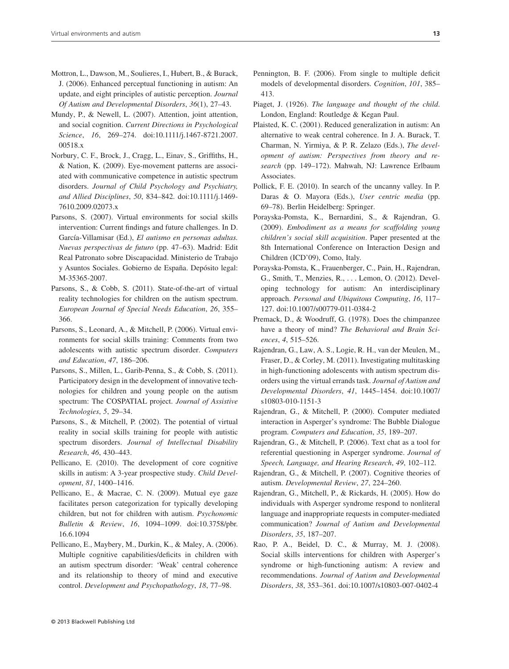- Mottron, L., Dawson, M., Soulieres, I., Hubert, B., & Burack, J. (2006). Enhanced perceptual functioning in autism: An update, and eight principles of autistic perception. *Journal Of Autism and Developmental Disorders*, *36*(1), 27–43.
- Mundy, P., & Newell, L. (2007). Attention, joint attention, and social cognition. *Current Directions in Psychological Science*, *16*, 269–274. doi:10.1111/j.1467-8721.2007. 00518.x
- Norbury, C. F., Brock, J., Cragg, L., Einav, S., Griffiths, H., & Nation, K. (2009). Eye-movement patterns are associated with communicative competence in autistic spectrum disorders. *Journal of Child Psychology and Psychiatry, and Allied Disciplines*, *50*, 834–842. doi:10.1111/j.1469- 7610.2009.02073.x
- Parsons, S. (2007). Virtual environments for social skills intervention: Current findings and future challenges. In D. García-Villamisar (Ed.), *El autismo en personas adultas. Nuevas perspectivas de futuro* (pp. 47–63). Madrid: Edit Real Patronato sobre Discapacidad. Ministerio de Trabajo y Asuntos Sociales. Gobierno de España. Depósito legal: M-35365-2007.
- Parsons, S., & Cobb, S. (2011). State-of-the-art of virtual reality technologies for children on the autism spectrum. *European Journal of Special Needs Education*, *26*, 355– 366.
- Parsons, S., Leonard, A., & Mitchell, P. (2006). Virtual environments for social skills training: Comments from two adolescents with autistic spectrum disorder. *Computers and Education*, *47*, 186–206.
- Parsons, S., Millen, L., Garib-Penna, S., & Cobb, S. (2011). Participatory design in the development of innovative technologies for children and young people on the autism spectrum: The COSPATIAL project. *Journal of Assistive Technologies*, *5*, 29–34.
- Parsons, S., & Mitchell, P. (2002). The potential of virtual reality in social skills training for people with autistic spectrum disorders. *Journal of Intellectual Disability Research*, *46*, 430–443.
- Pellicano, E. (2010). The development of core cognitive skills in autism: A 3-year prospective study. *Child Development*, *81*, 1400–1416.
- Pellicano, E., & Macrae, C. N. (2009). Mutual eye gaze facilitates person categorization for typically developing children, but not for children with autism. *Psychonomic Bulletin & Review*, *16*, 1094–1099. doi:10.3758/pbr. 16.6.1094
- Pellicano, E., Maybery, M., Durkin, K., & Maley, A. (2006). Multiple cognitive capabilities/deficits in children with an autism spectrum disorder: 'Weak' central coherence and its relationship to theory of mind and executive control. *Development and Psychopathology*, *18*, 77–98.
- Pennington, B. F. (2006). From single to multiple deficit models of developmental disorders. *Cognition*, *101*, 385– 413.
- Piaget, J. (1926). *The language and thought of the child*. London, England: Routledge & Kegan Paul.
- Plaisted, K. C. (2001). Reduced generalization in autism: An alternative to weak central coherence. In J. A. Burack, T. Charman, N. Yirmiya, & P. R. Zelazo (Eds.), *The development of autism: Perspectives from theory and research* (pp. 149–172). Mahwah, NJ: Lawrence Erlbaum Associates.
- Pollick, F. E. (2010). In search of the uncanny valley. In P. Daras & O. Mayora (Eds.), *User centric media* (pp. 69–78). Berlin Heidelberg: Springer.
- Porayska-Pomsta, K., Bernardini, S., & Rajendran, G. (2009). *Embodiment as a means for scaffolding young children's social skill acquisition*. Paper presented at the 8th International Conference on Interaction Design and Children (ICD'09), Como, Italy.
- Porayska-Pomsta, K., Frauenberger, C., Pain, H., Rajendran, G., Smith, T., Menzies, R., . . . Lemon, O. (2012). Developing technology for autism: An interdisciplinary approach. *Personal and Ubiquitous Computing*, *16*, 117– 127. doi:10.1007/s00779-011-0384-2
- Premack, D., & Woodruff, G. (1978). Does the chimpanzee have a theory of mind? *The Behavioral and Brain Sciences*, *4*, 515–526.
- Rajendran, G., Law, A. S., Logie, R. H., van der Meulen, M., Fraser, D., & Corley, M. (2011). Investigating multitasking in high-functioning adolescents with autism spectrum disorders using the virtual errands task. *Journal of Autism and Developmental Disorders*, *41*, 1445–1454. doi:10.1007/ s10803-010-1151-3
- Rajendran, G., & Mitchell, P. (2000). Computer mediated interaction in Asperger's syndrome: The Bubble Dialogue program. *Computers and Education*, *35*, 189–207.
- Rajendran, G., & Mitchell, P. (2006). Text chat as a tool for referential questioning in Asperger syndrome. *Journal of Speech, Language, and Hearing Research*, *49*, 102–112.
- Rajendran, G., & Mitchell, P. (2007). Cognitive theories of autism. *Developmental Review*, *27*, 224–260.
- Rajendran, G., Mitchell, P., & Rickards, H. (2005). How do individuals with Asperger syndrome respond to nonliteral language and inappropriate requests in computer-mediated communication? *Journal of Autism and Developmental Disorders*, *35*, 187–207.
- Rao, P. A., Beidel, D. C., & Murray, M. J. (2008). Social skills interventions for children with Asperger's syndrome or high-functioning autism: A review and recommendations. *Journal of Autism and Developmental Disorders*, *38*, 353–361. doi:10.1007/s10803-007-0402-4